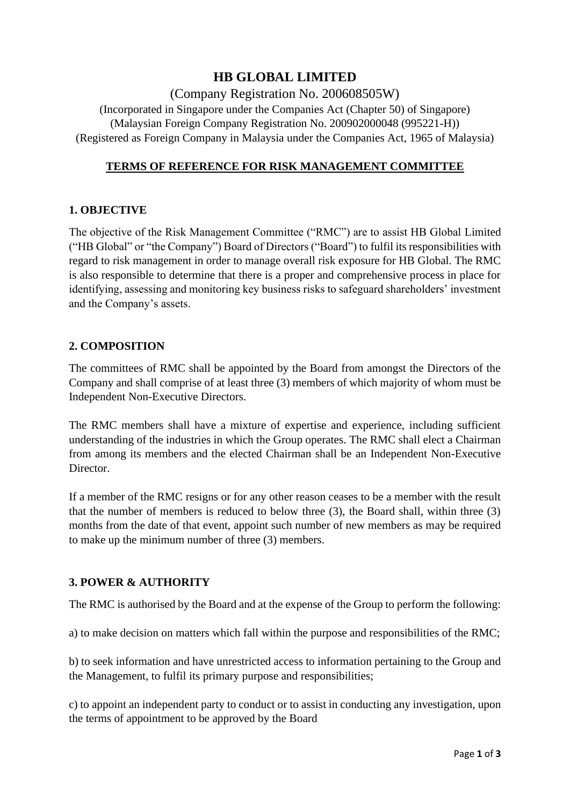# **HB GLOBAL LIMITED**

## (Company Registration No. 200608505W)

(Incorporated in Singapore under the Companies Act (Chapter 50) of Singapore) (Malaysian Foreign Company Registration No. 200902000048 (995221-H)) (Registered as Foreign Company in Malaysia under the Companies Act, 1965 of Malaysia)

## **TERMS OF REFERENCE FOR RISK MANAGEMENT COMMITTEE**

## **1. OBJECTIVE**

The objective of the Risk Management Committee ("RMC") are to assist HB Global Limited ("HB Global" or "the Company") Board of Directors ("Board") to fulfil its responsibilities with regard to risk management in order to manage overall risk exposure for HB Global. The RMC is also responsible to determine that there is a proper and comprehensive process in place for identifying, assessing and monitoring key business risks to safeguard shareholders' investment and the Company's assets.

## **2. COMPOSITION**

The committees of RMC shall be appointed by the Board from amongst the Directors of the Company and shall comprise of at least three (3) members of which majority of whom must be Independent Non-Executive Directors.

The RMC members shall have a mixture of expertise and experience, including sufficient understanding of the industries in which the Group operates. The RMC shall elect a Chairman from among its members and the elected Chairman shall be an Independent Non-Executive Director.

If a member of the RMC resigns or for any other reason ceases to be a member with the result that the number of members is reduced to below three (3), the Board shall, within three (3) months from the date of that event, appoint such number of new members as may be required to make up the minimum number of three (3) members.

## **3. POWER & AUTHORITY**

The RMC is authorised by the Board and at the expense of the Group to perform the following:

a) to make decision on matters which fall within the purpose and responsibilities of the RMC;

b) to seek information and have unrestricted access to information pertaining to the Group and the Management, to fulfil its primary purpose and responsibilities;

c) to appoint an independent party to conduct or to assist in conducting any investigation, upon the terms of appointment to be approved by the Board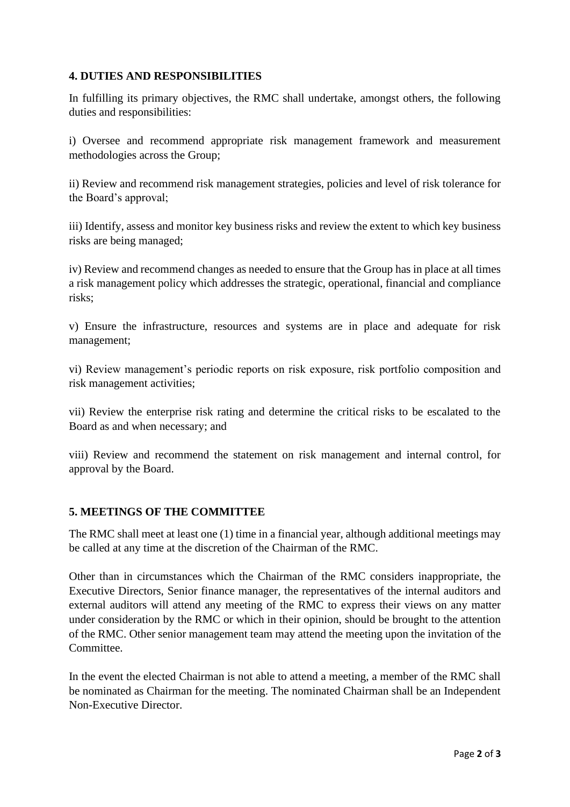## **4. DUTIES AND RESPONSIBILITIES**

In fulfilling its primary objectives, the RMC shall undertake, amongst others, the following duties and responsibilities:

i) Oversee and recommend appropriate risk management framework and measurement methodologies across the Group;

ii) Review and recommend risk management strategies, policies and level of risk tolerance for the Board's approval;

iii) Identify, assess and monitor key business risks and review the extent to which key business risks are being managed;

iv) Review and recommend changes as needed to ensure that the Group has in place at all times a risk management policy which addresses the strategic, operational, financial and compliance risks;

v) Ensure the infrastructure, resources and systems are in place and adequate for risk management;

vi) Review management's periodic reports on risk exposure, risk portfolio composition and risk management activities;

vii) Review the enterprise risk rating and determine the critical risks to be escalated to the Board as and when necessary; and

viii) Review and recommend the statement on risk management and internal control, for approval by the Board.

## **5. MEETINGS OF THE COMMITTEE**

The RMC shall meet at least one (1) time in a financial year, although additional meetings may be called at any time at the discretion of the Chairman of the RMC.

Other than in circumstances which the Chairman of the RMC considers inappropriate, the Executive Directors, Senior finance manager, the representatives of the internal auditors and external auditors will attend any meeting of the RMC to express their views on any matter under consideration by the RMC or which in their opinion, should be brought to the attention of the RMC. Other senior management team may attend the meeting upon the invitation of the Committee.

In the event the elected Chairman is not able to attend a meeting, a member of the RMC shall be nominated as Chairman for the meeting. The nominated Chairman shall be an Independent Non-Executive Director.